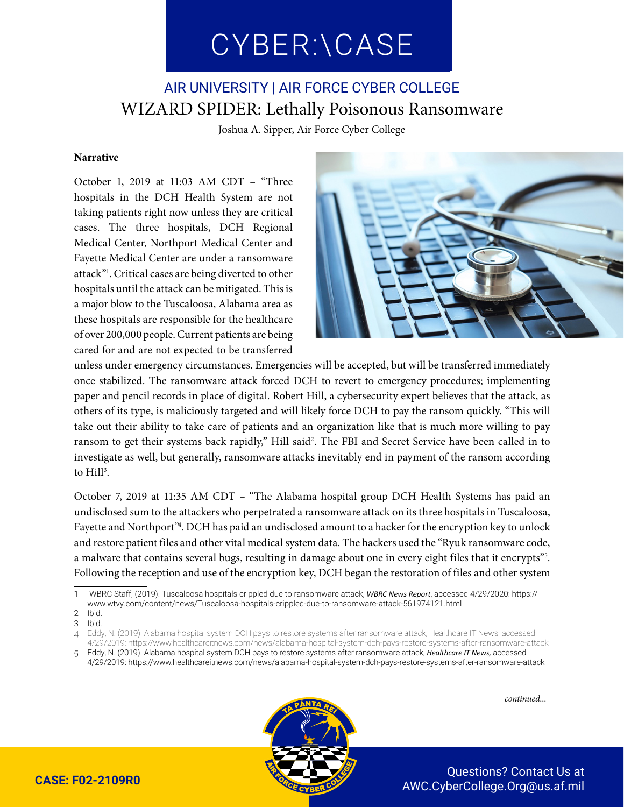# CYBER:\CASE CYBER:\CASE

## AIR UNIVERSITY | AIR FORCE CYBER COLLEGE WIZARD SPIDER: Lethally Poisonous Ransomware

Joshua A. Sipper, Air Force Cyber College

#### **Narrative**

October 1, 2019 at 11:03 AM CDT – "Three hospitals in the DCH Health System are not taking patients right now unless they are critical cases. The three hospitals, DCH Regional Medical Center, Northport Medical Center and Fayette Medical Center are under a ransomware attack"1 . Critical cases are being diverted to other hospitals until the attack can be mitigated. This is a major blow to the Tuscaloosa, Alabama area as these hospitals are responsible for the healthcare of over 200,000 people. Current patients are being cared for and are not expected to be transferred



unless under emergency circumstances. Emergencies will be accepted, but will be transferred immediately once stabilized. The ransomware attack forced DCH to revert to emergency procedures; implementing paper and pencil records in place of digital. Robert Hill, a cybersecurity expert believes that the attack, as others of its type, is maliciously targeted and will likely force DCH to pay the ransom quickly. "This will take out their ability to take care of patients and an organization like that is much more willing to pay ransom to get their systems back rapidly," Hill said<sup>2</sup>. The FBI and Secret Service have been called in to investigate as well, but generally, ransomware attacks inevitably end in payment of the ransom according to Hill<sup>3</sup>.

October 7, 2019 at 11:35 AM CDT – "The Alabama hospital group DCH Health Systems has paid an undisclosed sum to the attackers who perpetrated a ransomware attack on its three hospitals in Tuscaloosa, Fayette and Northport"<sup>4</sup>. DCH has paid an undisclosed amount to a hacker for the encryption key to unlock and restore patient files and other vital medical system data. The hackers used the "Ryuk ransomware code, a malware that contains several bugs, resulting in damage about one in every eight files that it encrypts"<sup>5</sup>. Following the reception and use of the encryption key, DCH began the restoration of files and other system



<sup>1</sup> WBRC Staff, (2019). Tuscaloosa hospitals crippled due to ransomware attack, *WBRC News Report*, accessed 4/29/2020: https://

www.wtvy.com/content/news/Tuscaloosa-hospitals-crippled-due-to-ransomware-attack-561974121.html

<sup>2</sup> Ibid.

<sup>3</sup> Ibid.

<sup>4</sup> Eddy, N. (2019). Alabama hospital system DCH pays to restore systems after ransomware attack, Healthcare IT News, accessed 4/29/2019: https://www.healthcareitnews.com/news/alabama-hospital-system-dch-pays-restore-systems-after-ransomware-attack

<sup>5</sup> Eddy, N. (2019). Alabama hospital system DCH pays to restore systems after ransomware attack, *Healthcare IT News,* accessed 4/29/2019: https://www.healthcareitnews.com/news/alabama-hospital-system-dch-pays-restore-systems-after-ransomware-attack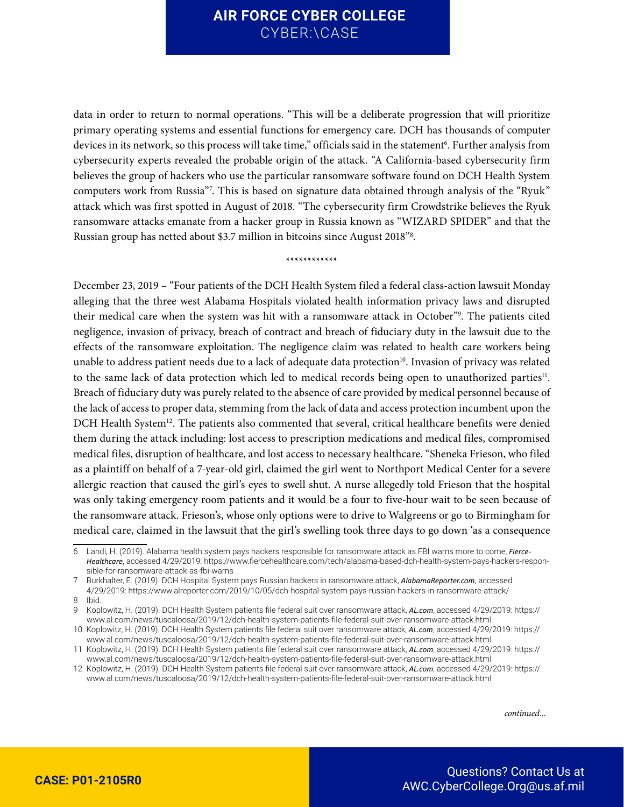data in order to return to normal operations. "This will be a deliberate progression that will prioritize primary operating systems and essential functions for emergency care. DCH has thousands of computer devices in its network, so this process will take time," officials said in the statement<sup>6</sup>. Further analysis from cybersecurity experts revealed the probable origin of the attack. "A California-based cybersecurity firm believes the group of hackers who use the particular ransomware software found on DCH Health System computers work from Russia"7 . This is based on signature data obtained through analysis of the "Ryuk" attack which was first spotted in August of 2018. "The cybersecurity firm Crowdstrike believes the Ryuk ransomware attacks emanate from a hacker group in Russia known as "WIZARD SPIDER" and that the Russian group has netted about \$3.7 million in bitcoins since August 2018"8 .

\*\*\*\*\*\*\*\*\*\*\*\*

December 23, 2019 – "Four patients of the DCH Health System filed a federal class-action lawsuit Monday alleging that the three west Alabama Hospitals violated health information privacy laws and disrupted their medical care when the system was hit with a ransomware attack in October"9 . The patients cited negligence, invasion of privacy, breach of contract and breach of fiduciary duty in the lawsuit due to the effects of the ransomware exploitation. The negligence claim was related to health care workers being unable to address patient needs due to a lack of adequate data protection<sup>10</sup>. Invasion of privacy was related to the same lack of data protection which led to medical records being open to unauthorized parties<sup>11</sup>. Breach of fiduciary duty was purely related to the absence of care provided by medical personnel because of the lack of access to proper data, stemming from the lack of data and access protection incumbent upon the DCH Health System<sup>12</sup>. The patients also commented that several, critical healthcare benefits were denied them during the attack including: lost access to prescription medications and medical files, compromised medical files, disruption of healthcare, and lost access to necessary healthcare. "Sheneka Frieson, who filed as a plaintiff on behalf of a 7-year-old girl, claimed the girl went to Northport Medical Center for a severe allergic reaction that caused the girl's eyes to swell shut. A nurse allegedly told Frieson that the hospital was only taking emergency room patients and it would be a four to five-hour wait to be seen because of the ransomware attack. Frieson's, whose only options were to drive to Walgreens or go to Birmingham for medical care, claimed in the lawsuit that the girl's swelling took three days to go down 'as a consequence

<sup>6</sup> Landi, H. (2019). Alabama health system pays hackers responsible for ransomware attack as FBI warns more to come, *Fierce-Healthcare*, accessed 4/29/2019: https://www.fiercehealthcare.com/tech/alabama-based-dch-health-system-pays-hackers-responsible-for-ransomware-attack-as-fbi-warns

<sup>7</sup> Burkhalter, E. (2019). DCH Hospital System pays Russian hackers in ransomware attack, *AlabamaReporter.com*, accessed 4/29/2019: https://www.alreporter.com/2019/10/05/dch-hospital-system-pays-russian-hackers-in-ransomware-attack/

<sup>8</sup> Ibid.

<sup>9</sup> Koplowitz, H. (2019). DCH Health System patients file federal suit over ransomware attack, *AL.com*, accessed 4/29/2019: https:// www.al.com/news/tuscaloosa/2019/12/dch-health-system-patients-file-federal-suit-over-ransomware-attack.html

<sup>10</sup> Koplowitz, H. (2019). DCH Health System patients file federal suit over ransomware attack, *AL.com*, accessed 4/29/2019: https:// www.al.com/news/tuscaloosa/2019/12/dch-health-system-patients-file-federal-suit-over-ransomware-attack.html

<sup>11</sup> Koplowitz, H. (2019). DCH Health System patients file federal suit over ransomware attack, *AL.com*, accessed 4/29/2019: https:// www.al.com/news/tuscaloosa/2019/12/dch-health-system-patients-file-federal-suit-over-ransomware-attack.html

<sup>12</sup> Koplowitz, H. (2019). DCH Health System patients file federal suit over ransomware attack, *AL.com*, accessed 4/29/2019: https:// www.al.com/news/tuscaloosa/2019/12/dch-health-system-patients-file-federal-suit-over-ransomware-attack.html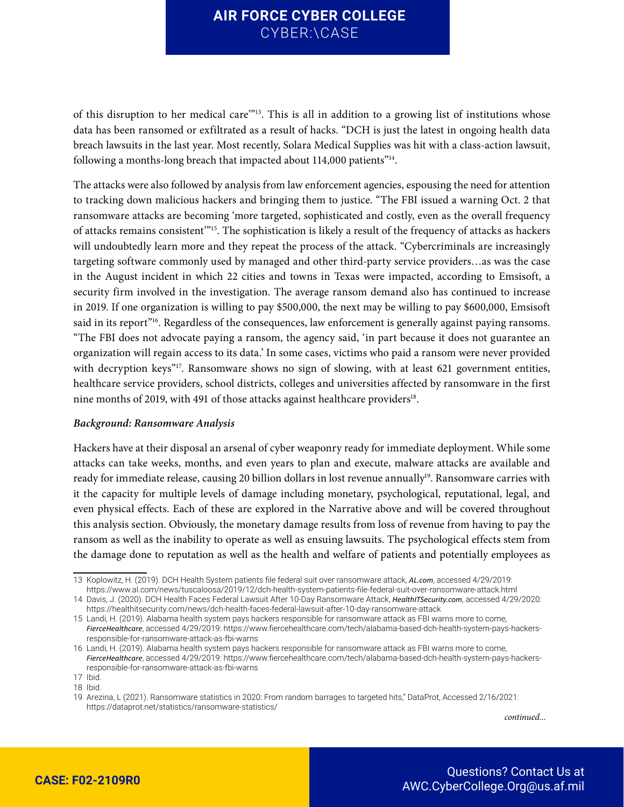of this disruption to her medical care'"13. This is all in addition to a growing list of institutions whose data has been ransomed or exfiltrated as a result of hacks. "DCH is just the latest in ongoing health data breach lawsuits in the last year. Most recently, Solara Medical Supplies was hit with a class-action lawsuit, following a months-long breach that impacted about 114,000 patients"<sup>14</sup>.

The attacks were also followed by analysis from law enforcement agencies, espousing the need for attention to tracking down malicious hackers and bringing them to justice. "The FBI issued a warning Oct. 2 that ransomware attacks are becoming 'more targeted, sophisticated and costly, even as the overall frequency of attacks remains consistent'"15. The sophistication is likely a result of the frequency of attacks as hackers will undoubtedly learn more and they repeat the process of the attack. "Cybercriminals are increasingly targeting software commonly used by managed and other third-party service providers…as was the case in the August incident in which 22 cities and towns in Texas were impacted, according to Emsisoft, a security firm involved in the investigation. The average ransom demand also has continued to increase in 2019. If one organization is willing to pay \$500,000, the next may be willing to pay \$600,000, Emsisoft said in its report<sup>"16</sup>. Regardless of the consequences, law enforcement is generally against paying ransoms. "The FBI does not advocate paying a ransom, the agency said, 'in part because it does not guarantee an organization will regain access to its data.' In some cases, victims who paid a ransom were never provided with decryption keys"<sup>17</sup>. Ransomware shows no sign of slowing, with at least 621 government entities, healthcare service providers, school districts, colleges and universities affected by ransomware in the first nine months of 2019, with 491 of those attacks against healthcare providers<sup>18</sup>.

#### *Background: Ransomware Analysis*

Hackers have at their disposal an arsenal of cyber weaponry ready for immediate deployment. While some attacks can take weeks, months, and even years to plan and execute, malware attacks are available and ready for immediate release, causing 20 billion dollars in lost revenue annually<sup>19</sup>. Ransomware carries with it the capacity for multiple levels of damage including monetary, psychological, reputational, legal, and even physical effects. Each of these are explored in the Narrative above and will be covered throughout this analysis section. Obviously, the monetary damage results from loss of revenue from having to pay the ransom as well as the inability to operate as well as ensuing lawsuits. The psychological effects stem from the damage done to reputation as well as the health and welfare of patients and potentially employees as

<sup>13</sup> Koplowitz, H. (2019). DCH Health System patients file federal suit over ransomware attack, *AL.com*, accessed 4/29/2019: https://www.al.com/news/tuscaloosa/2019/12/dch-health-system-patients-file-federal-suit-over-ransomware-attack.html

<sup>14</sup> Davis, J. (2020). DCH Health Faces Federal Lawsuit After 10-Day Ransomware Attack, *HealthITSecurity.com*, accessed 4/29/2020: https://healthitsecurity.com/news/dch-health-faces-federal-lawsuit-after-10-day-ransomware-attack

<sup>15</sup> Landi, H. (2019). Alabama health system pays hackers responsible for ransomware attack as FBI warns more to come, *FierceHealthcare*, accessed 4/29/2019: https://www.fiercehealthcare.com/tech/alabama-based-dch-health-system-pays-hackersresponsible-for-ransomware-attack-as-fbi-warns

<sup>16</sup> Landi, H. (2019). Alabama health system pays hackers responsible for ransomware attack as FBI warns more to come, *FierceHealthcare*, accessed 4/29/2019: https://www.fiercehealthcare.com/tech/alabama-based-dch-health-system-pays-hackersresponsible-for-ransomware-attack-as-fbi-warns

<sup>17</sup> Ibid.

<sup>18</sup> Ibid.

<sup>19</sup> Arezina, L (2021). Ransomware statistics in 2020: From random barrages to targeted hits," DataProt, Accessed 2/16/2021: https://dataprot.net/statistics/ransomware-statistics/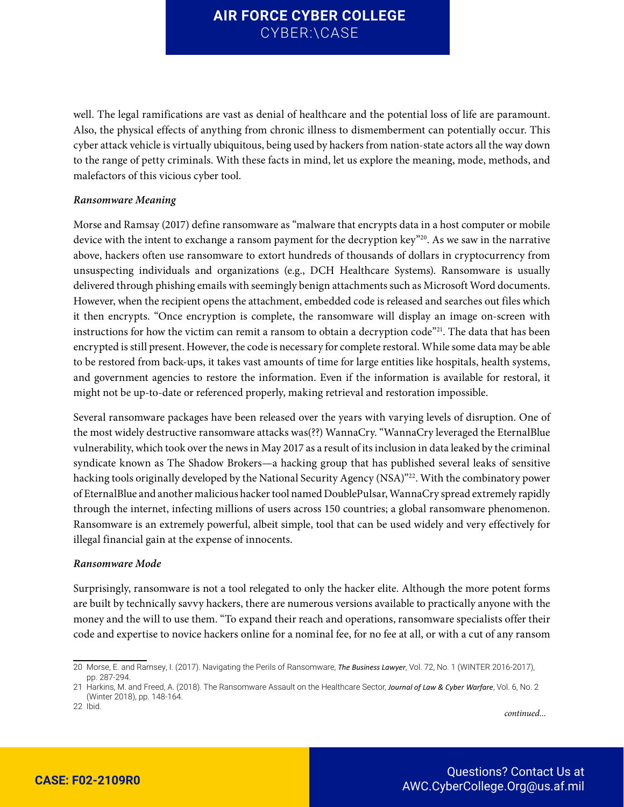well. The legal ramifications are vast as denial of healthcare and the potential loss of life are paramount. Also, the physical effects of anything from chronic illness to dismemberment can potentially occur. This cyber attack vehicle is virtually ubiquitous, being used by hackers from nation-state actors all the way down to the range of petty criminals. With these facts in mind, let us explore the meaning, mode, methods, and malefactors of this vicious cyber tool.

#### *Ransomware Meaning*

Morse and Ramsay (2017) define ransomware as "malware that encrypts data in a host computer or mobile device with the intent to exchange a ransom payment for the decryption key"<sup>20</sup>. As we saw in the narrative above, hackers often use ransomware to extort hundreds of thousands of dollars in cryptocurrency from unsuspecting individuals and organizations (e.g., DCH Healthcare Systems). Ransomware is usually delivered through phishing emails with seemingly benign attachments such as Microsoft Word documents. However, when the recipient opens the attachment, embedded code is released and searches out files which it then encrypts. "Once encryption is complete, the ransomware will display an image on-screen with instructions for how the victim can remit a ransom to obtain a decryption code"<sup>21</sup>. The data that has been encrypted is still present. However, the code is necessary for complete restoral. While some data may be able to be restored from back-ups, it takes vast amounts of time for large entities like hospitals, health systems, and government agencies to restore the information. Even if the information is available for restoral, it might not be up-to-date or referenced properly, making retrieval and restoration impossible.

Several ransomware packages have been released over the years with varying levels of disruption. One of the most widely destructive ransomware attacks was(??) WannaCry. "WannaCry leveraged the EternalBlue vulnerability, which took over the news in May 2017 as a result of its inclusion in data leaked by the criminal syndicate known as The Shadow Brokers—a hacking group that has published several leaks of sensitive hacking tools originally developed by the National Security Agency (NSA)"22. With the combinatory power of EternalBlue and another malicious hacker tool named DoublePulsar, WannaCry spread extremely rapidly through the internet, infecting millions of users across 150 countries; a global ransomware phenomenon. Ransomware is an extremely powerful, albeit simple, tool that can be used widely and very effectively for illegal financial gain at the expense of innocents.

#### *Ransomware Mode*

Surprisingly, ransomware is not a tool relegated to only the hacker elite. Although the more potent forms are built by technically savvy hackers, there are numerous versions available to practically anyone with the money and the will to use them. "To expand their reach and operations, ransomware specialists offer their code and expertise to novice hackers online for a nominal fee, for no fee at all, or with a cut of any ransom

22 Ibid.

<sup>20</sup> Morse, E. and Ramsey, I. (2017). Navigating the Perils of Ransomware, *The Business Lawyer*, Vol. 72, No. 1 (WINTER 2016-2017), pp. 287-294.

<sup>21</sup> Harkins, M. and Freed, A. (2018). The Ransomware Assault on the Healthcare Sector, *Journal of Law & Cyber Warfare*, Vol. 6, No. 2 (Winter 2018), pp. 148-164.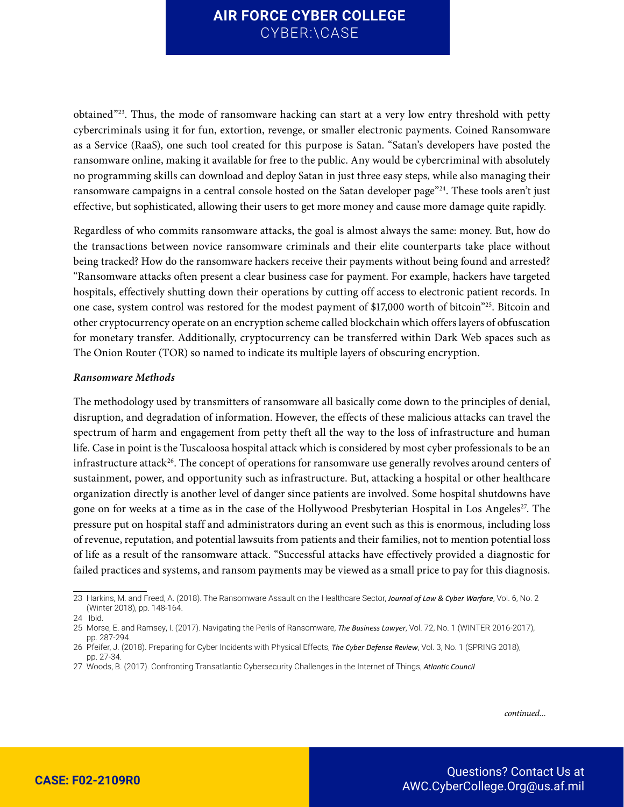obtained"<sup>23</sup>. Thus, the mode of ransomware hacking can start at a very low entry threshold with petty cybercriminals using it for fun, extortion, revenge, or smaller electronic payments. Coined Ransomware as a Service (RaaS), one such tool created for this purpose is Satan. "Satan's developers have posted the ransomware online, making it available for free to the public. Any would be cybercriminal with absolutely no programming skills can download and deploy Satan in just three easy steps, while also managing their ransomware campaigns in a central console hosted on the Satan developer page"<sup>24</sup>. These tools aren't just effective, but sophisticated, allowing their users to get more money and cause more damage quite rapidly.

Regardless of who commits ransomware attacks, the goal is almost always the same: money. But, how do the transactions between novice ransomware criminals and their elite counterparts take place without being tracked? How do the ransomware hackers receive their payments without being found and arrested? "Ransomware attacks often present a clear business case for payment. For example, hackers have targeted hospitals, effectively shutting down their operations by cutting off access to electronic patient records. In one case, system control was restored for the modest payment of \$17,000 worth of bitcoin"<sup>25</sup>. Bitcoin and other cryptocurrency operate on an encryption scheme called blockchain which offers layers of obfuscation for monetary transfer. Additionally, cryptocurrency can be transferred within Dark Web spaces such as The Onion Router (TOR) so named to indicate its multiple layers of obscuring encryption.

#### *Ransomware Methods*

The methodology used by transmitters of ransomware all basically come down to the principles of denial, disruption, and degradation of information. However, the effects of these malicious attacks can travel the spectrum of harm and engagement from petty theft all the way to the loss of infrastructure and human life. Case in point is the Tuscaloosa hospital attack which is considered by most cyber professionals to be an infrastructure attack<sup>26</sup>. The concept of operations for ransomware use generally revolves around centers of sustainment, power, and opportunity such as infrastructure. But, attacking a hospital or other healthcare organization directly is another level of danger since patients are involved. Some hospital shutdowns have gone on for weeks at a time as in the case of the Hollywood Presbyterian Hospital in Los Angeles<sup>27</sup>. The pressure put on hospital staff and administrators during an event such as this is enormous, including loss of revenue, reputation, and potential lawsuits from patients and their families, not to mention potential loss of life as a result of the ransomware attack. "Successful attacks have effectively provided a diagnostic for failed practices and systems, and ransom payments may be viewed as a small price to pay for this diagnosis.

<sup>23</sup> Harkins, M. and Freed, A. (2018). The Ransomware Assault on the Healthcare Sector, *Journal of Law & Cyber Warfare*, Vol. 6, No. 2 (Winter 2018), pp. 148-164.

<sup>24</sup> Ibid.

<sup>25</sup> Morse, E. and Ramsey, I. (2017). Navigating the Perils of Ransomware, *The Business Lawyer*, Vol. 72, No. 1 (WINTER 2016-2017), pp. 287-294.

<sup>26</sup> Pfeifer, J. (2018). Preparing for Cyber Incidents with Physical Effects, *The Cyber Defense Review*, Vol. 3, No. 1 (SPRING 2018), pp. 27-34.

<sup>27</sup> Woods, B. (2017). Confronting Transatlantic Cybersecurity Challenges in the Internet of Things, *Atlantic Council*